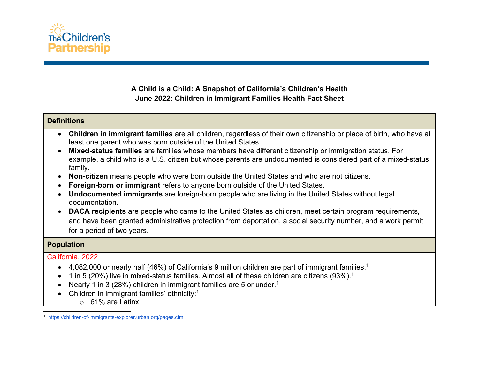

## **A Child is a Child: A Snapshot of California's Children's Health June 2022: Children in Immigrant Families Health Fact Sheet**

# **Definitions** • **Children in immigrant families** are all children, regardless of their own citizenship or place of birth, who have at least one parent who was born outside of the United States. • **Mixed-status families** are families whose members have different citizenship or immigration status. For example, a child who is a U.S. citizen but whose parents are undocumented is considered part of a mixed-status family. • **Non-citizen** means people who were born outside the United States and who are not citizens. • **Foreign-born or immigrant** refers to anyone born outside of the United States. • **Undocumented immigrants** are foreign-born people who are living in the United States without legal documentation. • **DACA recipients** are people who came to the United States as children, meet certain program requirements, and have been granted administrative protection from deportation, a social security number, and a work permit for a period of two years. **Population** California, 2022 • 4,082,000 or nearly half (46%) of California's 9 million children are part of immigrant families.<sup>1</sup> • 1 in 5 (20%) live in mixed-status families. Almost all of these children are citizens (93%).<sup>1</sup>

- Nearly 1 in 3 (28%) children in immigrant families are 5 or under.<sup>1</sup>
- Children in immigrant families' ethnicity:<sup>1</sup>
	- o 61% are Latinx

<sup>&</sup>lt;sup>1</sup> https://children-of-immigrants-explorer.urban.org/pages.cfm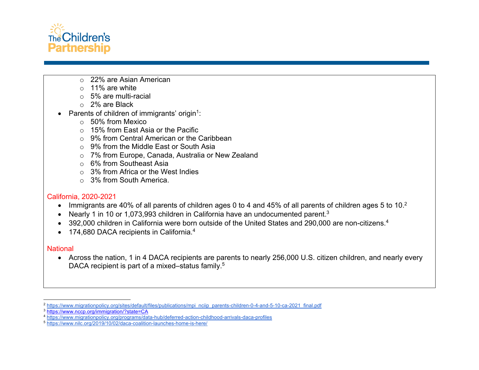

- o 22% are Asian American
- $\circ$  11% are white
- o 5% are multi-racial
- o 2% are Black
- Parents of children of immigrants' origin<sup>1</sup>:
	- o 50% from Mexico
	- o 15% from East Asia or the Pacific
	- o 9% from Central American or the Caribbean
	- $\circ$  9% from the Middle Fast or South Asia
	- o 7% from Europe, Canada, Australia or New Zealand
	- o 6% from Southeast Asia
	- $\circ$  3% from Africa or the West Indies
	- $\circ$  3% from South America.

### California, 2020-2021

- Immigrants are 40% of all parents of children ages 0 to 4 and 45% of all parents of children ages 5 to 10.<sup>2</sup>
- Nearly 1 in 10 or 1,073,993 children in California have an undocumented parent.<sup>3</sup>
- 392,000 children in California were born outside of the United States and 290,000 are non-citizens.<sup>4</sup>
- 174,680 DACA recipients in California.<sup>4</sup>

### **National**

• Across the nation, 1 in 4 DACA recipients are parents to nearly 256,000 U.S. citizen children, and nearly every DACA recipient is part of a mixed–status family.<sup>5</sup>

<sup>2</sup> https://www.migrationpolicy.org/sites/default/files/publications/mpi\_nciip\_parents-children-0-4-and-5-10-ca-2021\_final.pdf

<sup>3</sup> https://www.nccp.org/immigration/?state=CA

<sup>4</sup> https://www.migrationpolicy.org/programs/data-hub/deferred-action-childhood-arrivals-daca-profiles

<sup>5</sup> https://www.nilc.org/2019/10/02/daca-coalition-launches-home-is-here/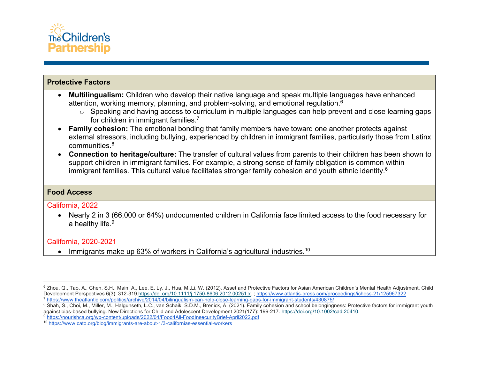

### **Protective Factors**

- **Multilingualism:** Children who develop their native language and speak multiple languages have enhanced attention, working memory, planning, and problem-solving, and emotional regulation.6
	- o Speaking and having access to curriculum in multiple languages can help prevent and close learning gaps for children in immigrant families.<sup>7</sup>
- **Family cohesion:** The emotional bonding that family members have toward one another protects against external stressors, including bullying, experienced by children in immigrant families, particularly those from Latinx communities.8
- **Connection to heritage/culture:** The transfer of cultural values from parents to their children has been shown to support children in immigrant families. For example, a strong sense of family obligation is common within immigrant families. This cultural value facilitates stronger family cohesion and youth ethnic identity.<sup>6</sup>

### **Food Access**

California, 2022

• Nearly 2 in 3 (66,000 or 64%) undocumented children in California face limited access to the food necessary for a healthy life.<sup>9</sup>

### California, 2020-2021

• Immigrants make up 63% of workers in California's agricultural industries.<sup>10</sup>

<sup>&</sup>lt;sup>6</sup> Zhou, Q., Tao, A., Chen, S.H., Main, A., Lee, E. Ly, J., Hua, M.,Li, W. (2012). Asset and Protective Factors for Asian American Children's Mental Health Adjustment. Child Development Perspectives 6(3): 312-319.https://doi.org/10.1111/j.1750-8606.2012.00251.x. ; https://www.atlantis-press.com/proceedings/ichess-21/125967322 <sup>7</sup> https://www.theatlantic.com/politics/archive/2014/04/bilingualism-can-help-close-learning-gaps-for-immigrant-students/430875/

<sup>&</sup>lt;sup>8</sup> Shah, S., Choi, M., Miller, M., Halgunseth, L.C., van Schaik, S.D.M., Brenick, A. (2021). Family cohesion and school belongingness: Protective factors for immigrant youth against bias-based bullying. New Directions for Child and Adolescent Development 2021(177): 199-217. https://doi.org/10.1002/cad.20410.

<sup>9</sup> https://nourishca.org/wp-content/uploads/2022/04/Food4All-FoodInsecurityBrief-April2022.pdf

<sup>10</sup> https://www.cato.org/blog/immigrants-are-about-1/3-californias-essential-workers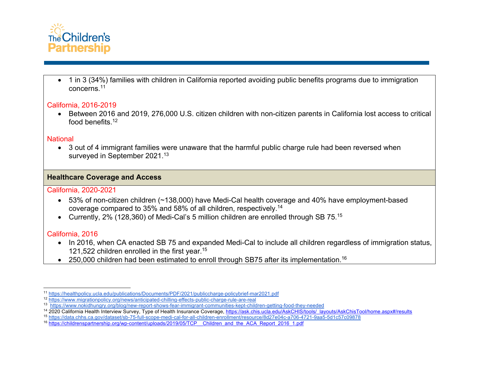

• 1 in 3 (34%) families with children in California reported avoiding public benefits programs due to immigration concerns.11

### California, 2016-2019

• Between 2016 and 2019, 276,000 U.S. citizen children with non-citizen parents in California lost access to critical food benefits.12

#### **National**

• 3 out of 4 immigrant families were unaware that the harmful public charge rule had been reversed when surveyed in September 2021.<sup>13</sup>

## **Healthcare Coverage and Access**

### California, 2020-2021

- 53% of non-citizen children (~138,000) have Medi-Cal health coverage and 40% have employment-based coverage compared to 35% and 58% of all children, respectively.14
- Currently, 2% (128,360) of Medi-Cal's 5 million children are enrolled through SB 75.<sup>15</sup>

## California, 2016

- In 2016, when CA enacted SB 75 and expanded Medi-Cal to include all children regardless of immigration status, 121,522 children enrolled in the first year.15
- 250,000 children had been estimated to enroll through SB75 after its implementation.<sup>16</sup>

<sup>11</sup> https://healthpolicy.ucla.edu/publications/Documents/PDF/2021/publiccharge-policybrief-mar2021.pdf

<sup>12</sup> https://www.migrationpolicy.org/news/anticipated-chilling-effects-public-charge-rule-are-real

<sup>13</sup> https://www.nokidhungry.org/blog/new-report-shows-fear-immigrant-communities-kept-children-getting-food-they-needed

<sup>&</sup>lt;sup>14</sup> 2020 California Health Interview Survey, Type of Health Insurance Coverage, https://ask.chis.ucla.edu/AskCHIS/tools/\_layouts/AskChisTool/home.aspx#/results

<sup>15</sup> https://data.chhs.ca.gov/dataset/sb-75-full-scope-medi-cal-for-all-children-enrollment/resource/8d27e04c-a706-4721-9aa5-5d1c57c09878

<sup>16</sup> https://childrenspartnership.org/wp-content/uploads/2019/05/TCP\_\_Children\_and\_the\_ACA\_Report\_2016\_1.pdf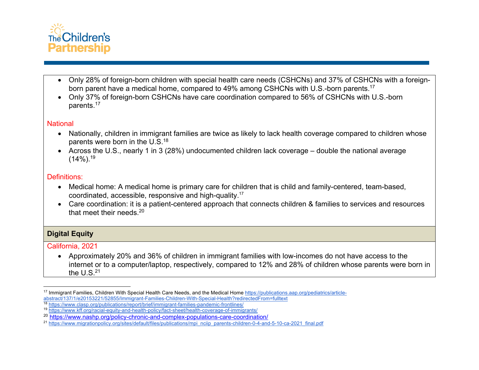

- Only 28% of foreign-born children with special health care needs (CSHCNs) and 37% of CSHCNs with a foreignborn parent have a medical home, compared to 49% among CSHCNs with U.S.-born parents.<sup>17</sup>
- Only 37% of foreign-born CSHCNs have care coordination compared to 56% of CSHCNs with U.S.-born parents.17

#### **National**

- Nationally, children in immigrant families are twice as likely to lack health coverage compared to children whose parents were born in the U.S.18
- Across the U.S., nearly 1 in 3 (28%) undocumented children lack coverage double the national average  $(14\%)$ .<sup>19</sup>

### Definitions:

- Medical home: A medical home is primary care for children that is child and family-centered, team-based, coordinated, accessible, responsive and high-quality. 17
- Care coordination: it is a patient-centered approach that connects children & families to services and resources that meet their needs.<sup>20</sup>

## **Digital Equity**

California, 2021

• Approximately 20% and 36% of children in immigrant families with low-incomes do not have access to the internet or to a computer/laptop, respectively, compared to 12% and 28% of children whose parents were born in the  $U.S.<sup>21</sup>$ 

<sup>17</sup> Immigrant Families, Children With Special Health Care Needs, and the Medical Home https://publications.aap.org/pediatrics/articleabstract/137/1/e20153221/52855/Immigrant-Families-Children-With-Special-Health?redirectedFrom=fulltext <sup>18</sup> https://www.clasp.org/publications/report/brief/immigrant-families-pandemic-frontlines/

<sup>19</sup> https://www.kff.org/racial-equity-and-health-policy/fact-sheet/health-coverage-of-immigrants/

<sup>20</sup> https://www.nashp.org/policy-chronic-and-complex-populations-care-coordination/

<sup>21</sup> https://www.migrationpolicy.org/sites/default/files/publications/mpi\_nciip\_parents-children-0-4-and-5-10-ca-2021\_final.pdf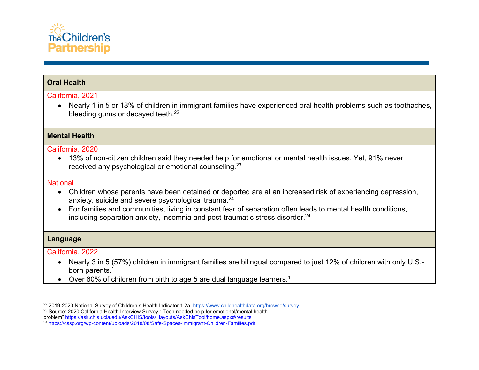

## **Oral Health**

#### California, 2021

• Nearly 1 in 5 or 18% of children in immigrant families have experienced oral health problems such as toothaches, bleeding gums or decayed teeth.<sup>22</sup>

#### **Mental Health**

#### California, 2020

• 13% of non-citizen children said they needed help for emotional or mental health issues. Yet, 91% never received any psychological or emotional counseling.23

#### **National**

- Children whose parents have been detained or deported are at an increased risk of experiencing depression, anxiety, suicide and severe psychological trauma.<sup>24</sup>
- For families and communities, living in constant fear of separation often leads to mental health conditions, including separation anxiety, insomnia and post-traumatic stress disorder.<sup>24</sup>

#### **Language**

#### California, 2022

- Nearly 3 in 5 (57%) children in immigrant families are bilingual compared to just 12% of children with only U.S. born parents.<sup>1</sup>
- Over 60% of children from birth to age 5 are dual language learners.<sup>1</sup>

<sup>&</sup>lt;sup>22</sup> 2019-2020 National Survey of Children;s Health Indicator 1.2a https://www.childhealthdata.org/browse/survey

<sup>&</sup>lt;sup>23</sup> Source: 2020 California Health Interview Survey " Teen needed help for emotional/mental health problem" https://ask.chis.ucla.edu/AskCHIS/tools/\_layouts/AskChisTool/home.aspx#/results <sup>24</sup> https://cssp.org/wp-content/uploads/2018/08/Safe-Spaces-Immigrant-Children-Families.pdf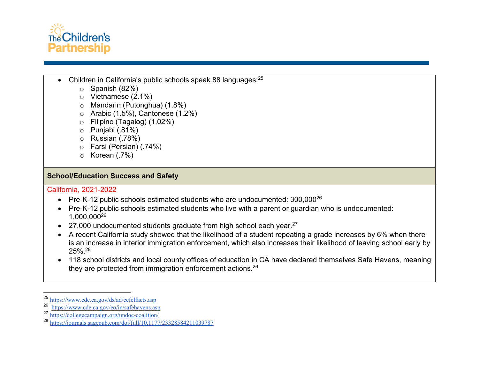

- Children in California's public schools speak 88 languages:25
	- $\circ$  Spanish (82%)
	- o Vietnamese (2.1%)
	- o Mandarin (Putonghua) (1.8%)
	- $\circ$  Arabic (1.5%), Cantonese (1.2%)
	- o Filipino (Tagalog) (1.02%)
	- $\circ$  Punjabi (.81%)
	- o Russian (.78%)
	- o Farsi (Persian) (.74%)
	- o Korean (.7%)

## **School/Education Success and Safety**

California, 2021-2022

- Pre-K-12 public schools estimated students who are undocumented: 300,000<sup>26</sup>
- Pre-K-12 public schools estimated students who live with a parent or guardian who is undocumented: 1,000,00026
- 27,000 undocumented students graduate from high school each year. $27$
- A recent California study showed that the likelihood of a student repeating a grade increases by 6% when there is an increase in interior immigration enforcement, which also increases their likelihood of leaving school early by 25%.28
- 118 school districts and local county offices of education in CA have declared themselves Safe Havens, meaning they are protected from immigration enforcement actions.<sup>26</sup>

<sup>25</sup> https://www.cde.ca.gov/ds/ad/cefelfacts.asp

<sup>26</sup> https://www.cde.ca.gov/eo/in/safehavens.asp<br>27 https://collegecampaign.org/undoc-coalition/

https://collegecampaign.org/undoc-coalition/

<sup>28</sup> https://journals.sagepub.com/doi/full/10.1177/23328584211039787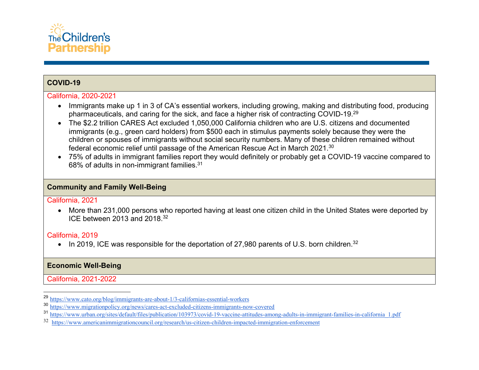

## **COVID-19**

#### California, 2020-2021

- Immigrants make up 1 in 3 of CA's essential workers, including growing, making and distributing food, producing pharmaceuticals, and caring for the sick, and face a higher risk of contracting COVID-19.29
- The \$2.2 trillion CARES Act excluded 1,050,000 California children who are U.S. citizens and documented immigrants (e.g., green card holders) from \$500 each in stimulus payments solely because they were the children or spouses of immigrants without social security numbers. Many of these children remained without federal economic relief until passage of the American Rescue Act in March 2021.30
- 75% of adults in immigrant families report they would definitely or probably get a COVID-19 vaccine compared to 68% of adults in non-immigrant families.31

## **Community and Family Well-Being**

#### California, 2021

• More than 231,000 persons who reported having at least one citizen child in the United States were deported by ICE between 2013 and 2018.32

## California, 2019

• In 2019, ICE was responsible for the deportation of 27,980 parents of U.S. born children.<sup>32</sup>

## **Economic Well-Being**

California, 2021-2022

<sup>29</sup> https://www.cato.org/blog/immigrants-are-about-1/3-californias-essential-workers

<sup>30</sup> https://www.migrationpolicy.org/news/cares-act-excluded-citizens-immigrants-now-covered

<sup>31</sup> https://www.urban.org/sites/default/files/publication/103973/covid-19-vaccine-attitudes-among-adults-in-immigrant-families-in-california\_1.pdf

<sup>32</sup> https://www.americanimmigrationcouncil.org/research/us-citizen-children-impacted-immigration-enforcement